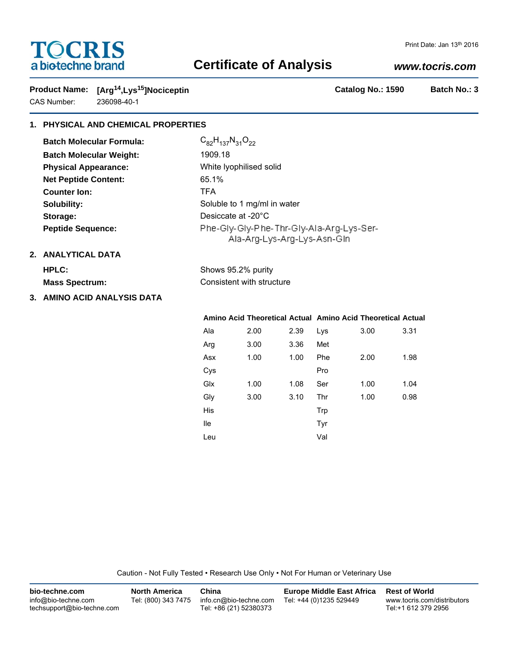# **TOCRIS** a biotechne brand

# **Certificate of Analysis**

## *www.tocris.com*

**Product Name:**  $[Arg^{14}, Lys^{15}]$ Nociceptin **Catalog No.: 1590** Batch No.: 3 CAS Number: 236098-40-1

## **1. PHYSICAL AND CHEMICAL PROPERTIES**

| <b>Batch Molecular Formula:</b> | $C_{82}H_{137}N_{31}O_{22}$                                             |
|---------------------------------|-------------------------------------------------------------------------|
| <b>Batch Molecular Weight:</b>  | 1909.18                                                                 |
| <b>Physical Appearance:</b>     | White Iyophilised solid                                                 |
| <b>Net Peptide Content:</b>     | 65.1%                                                                   |
| <b>Counter lon:</b>             | TFA.                                                                    |
| Solubility:                     | Soluble to 1 mg/ml in water                                             |
| Storage:                        | Desiccate at -20°C                                                      |
| <b>Peptide Sequence:</b>        | Phe-Gly-Gly-Phe-Thr-Gly-Ala-Arg-Lys-Ser-<br>Ala-Arg-Lys-Arg-Lys-Asn-Gin |

### **2. ANALYTICAL DATA**

| HPLC:          | Shows 95.2% purity        |
|----------------|---------------------------|
| Mass Spectrum: | Consistent with structure |

**3. AMINO ACID ANALYSIS DATA**

# **Amino Acid Theoretical Actual Amino Acid Theoretical Actual**

| Ala | 2.00 | 2.39 | Lys | 3.00 | 3.31 |
|-----|------|------|-----|------|------|
| Arg | 3.00 | 3.36 | Met |      |      |
| Asx | 1.00 | 1.00 | Phe | 2.00 | 1.98 |
| Cys |      |      | Pro |      |      |
| Glx | 1.00 | 1.08 | Ser | 1.00 | 1.04 |
| Gly | 3.00 | 3.10 | Thr | 1.00 | 0.98 |
| His |      |      | Trp |      |      |
| lle |      |      | Tyr |      |      |
| Leu |      |      | Val |      |      |

Caution - Not Fully Tested • Research Use Only • Not For Human or Veterinary Use